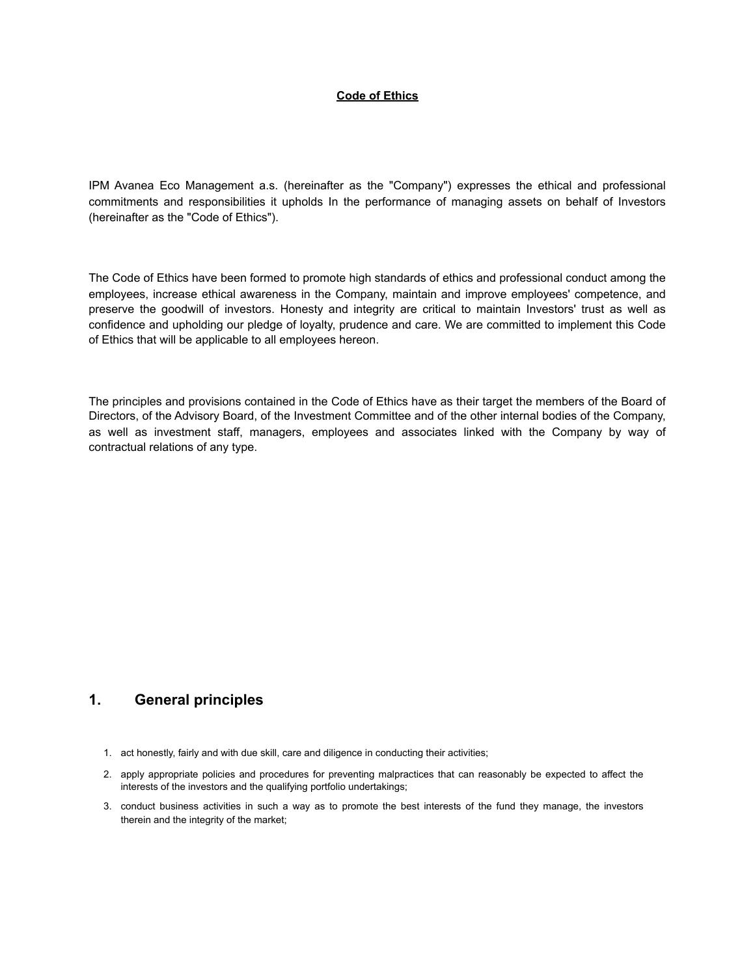#### **Code of Ethics**

IPM Avanea Eco Management a.s. (hereinafter as the "Company") expresses the ethical and professional commitments and responsibilities it upholds In the performance of managing assets on behalf of Investors (hereinafter as the "Code of Ethics").

The Code of Ethics have been formed to promote high standards of ethics and professional conduct among the employees, increase ethical awareness in the Company, maintain and improve employees' competence, and preserve the goodwill of investors. Honesty and integrity are critical to maintain Investors' trust as well as confidence and upholding our pledge of loyalty, prudence and care. We are committed to implement this Code of Ethics that will be applicable to all employees hereon.

The principles and provisions contained in the Code of Ethics have as their target the members of the Board of Directors, of the Advisory Board, of the Investment Committee and of the other internal bodies of the Company, as well as investment staff, managers, employees and associates linked with the Company by way of contractual relations of any type.

#### **1. General principles**

- 1. act honestly, fairly and with due skill, care and diligence in conducting their activities;
- 2. apply appropriate policies and procedures for preventing malpractices that can reasonably be expected to affect the interests of the investors and the qualifying portfolio undertakings;
- 3. conduct business activities in such a way as to promote the best interests of the fund they manage, the investors therein and the integrity of the market;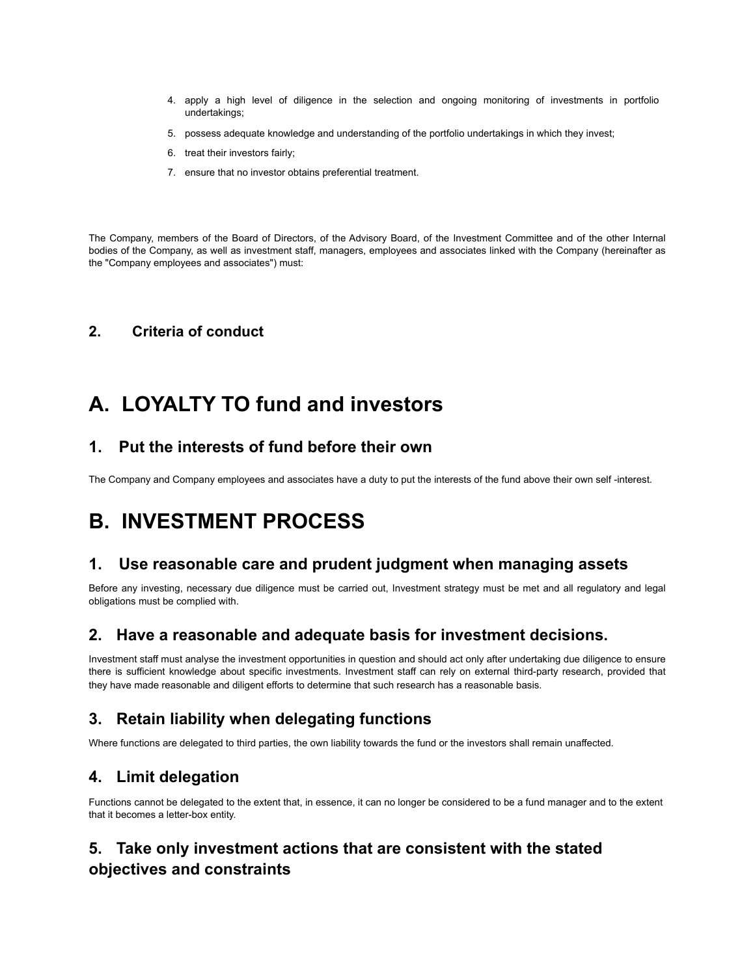- 4. apply a high level of diligence in the selection and ongoing monitoring of investments in portfolio undertakings;
- 5. possess adequate knowledge and understanding of the portfolio undertakings in which they invest;
- 6. treat their investors fairly;
- 7. ensure that no investor obtains preferential treatment.

The Company, members of the Board of Directors, of the Advisory Board, of the Investment Committee and of the other Internal bodies of the Company, as well as investment staff, managers, employees and associates linked with the Company (hereinafter as the "Company employees and associates") must:

#### **2. Criteria of conduct**

## **A. LOYALTY TO fund and investors**

#### **1. Put the interests of fund before their own**

The Company and Company employees and associates have a duty to put the interests of the fund above their own self -interest.

## **B. INVESTMENT PROCESS**

#### **1. Use reasonable care and prudent judgment when managing assets**

Before any investing, necessary due diligence must be carried out, Investment strategy must be met and all regulatory and legal obligations must be complied with.

#### **2. Have a reasonable and adequate basis for investment decisions.**

Investment staff must analyse the investment opportunities in question and should act only after undertaking due diligence to ensure there is sufficient knowledge about specific investments. Investment staff can rely on external third-party research, provided that they have made reasonable and diligent efforts to determine that such research has a reasonable basis.

## **3. Retain liability when delegating functions**

Where functions are delegated to third parties, the own liability towards the fund or the investors shall remain unaffected.

#### **4. Limit delegation**

Functions cannot be delegated to the extent that, in essence, it can no longer be considered to be a fund manager and to the extent that it becomes a letter-box entity.

## **5. Take only investment actions that are consistent with the stated objectives and constraints**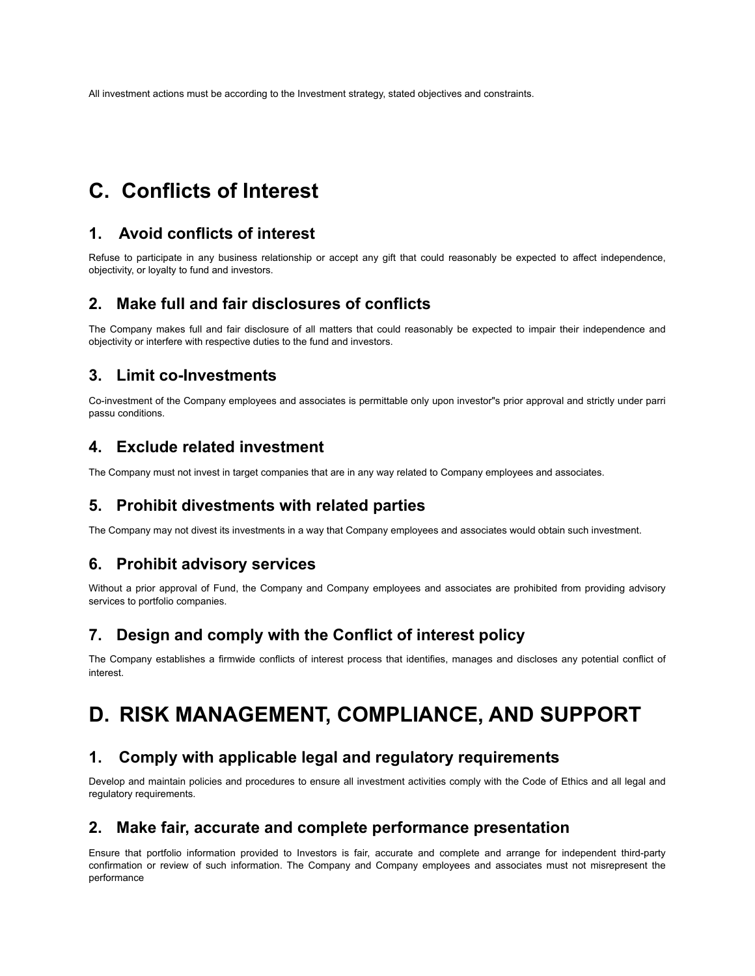All investment actions must be according to the Investment strategy, stated objectives and constraints.

## **C. Conflicts of Interest**

#### **1. Avoid conflicts of interest**

Refuse to participate in any business relationship or accept any gift that could reasonably be expected to affect independence, objectivity, or loyalty to fund and investors.

#### **2. Make full and fair disclosures of conflicts**

The Company makes full and fair disclosure of all matters that could reasonably be expected to impair their independence and objectivity or interfere with respective duties to the fund and investors.

### **3. Limit co-Investments**

Co-investment of the Company employees and associates is permittable only upon investor"s prior approval and strictly under parri passu conditions.

## **4. Exclude related investment**

The Company must not invest in target companies that are in any way related to Company employees and associates.

#### **5. Prohibit divestments with related parties**

The Company may not divest its investments in a way that Company employees and associates would obtain such investment.

#### **6. Prohibit advisory services**

Without a prior approval of Fund, the Company and Company employees and associates are prohibited from providing advisory services to portfolio companies.

#### **7. Design and comply with the Conflict of interest policy**

The Company establishes a firmwide conflicts of interest process that identifies, manages and discloses any potential conflict of interest.

# **D. RISK MANAGEMENT, COMPLIANCE, AND SUPPORT**

#### **1. Comply with applicable legal and regulatory requirements**

Develop and maintain policies and procedures to ensure all investment activities comply with the Code of Ethics and all legal and regulatory requirements.

#### **2. Make fair, accurate and complete performance presentation**

Ensure that portfolio information provided to Investors is fair, accurate and complete and arrange for independent third-party confirmation or review of such information. The Company and Company employees and associates must not misrepresent the performance